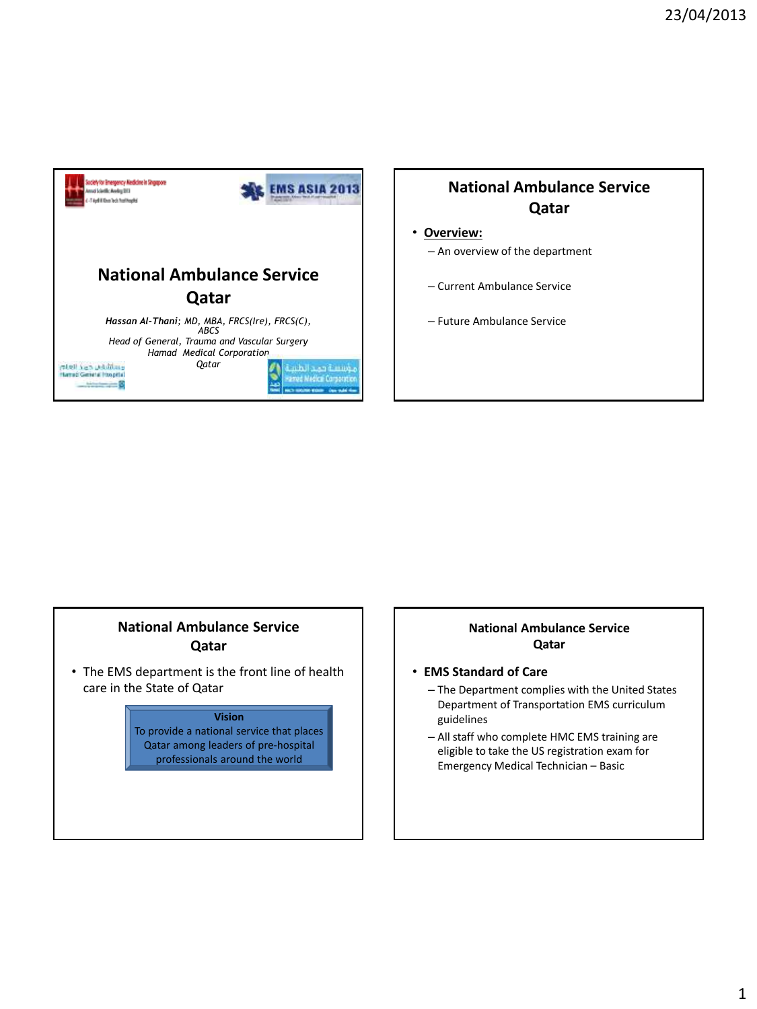

#### • **Overview:**

- An overview of the department
- Current Ambulance Service
- Future Ambulance Service

### **National Ambulance Service Qatar**

• The EMS department is the front line of health care in the State of Qatar



#### **National Ambulance Service Qatar**

- **EMS Standard of Care** 
	- The Department complies with the United States Department of Transportation EMS curriculum guidelines
	- All staff who complete HMC EMS training are eligible to take the US registration exam for Emergency Medical Technician – Basic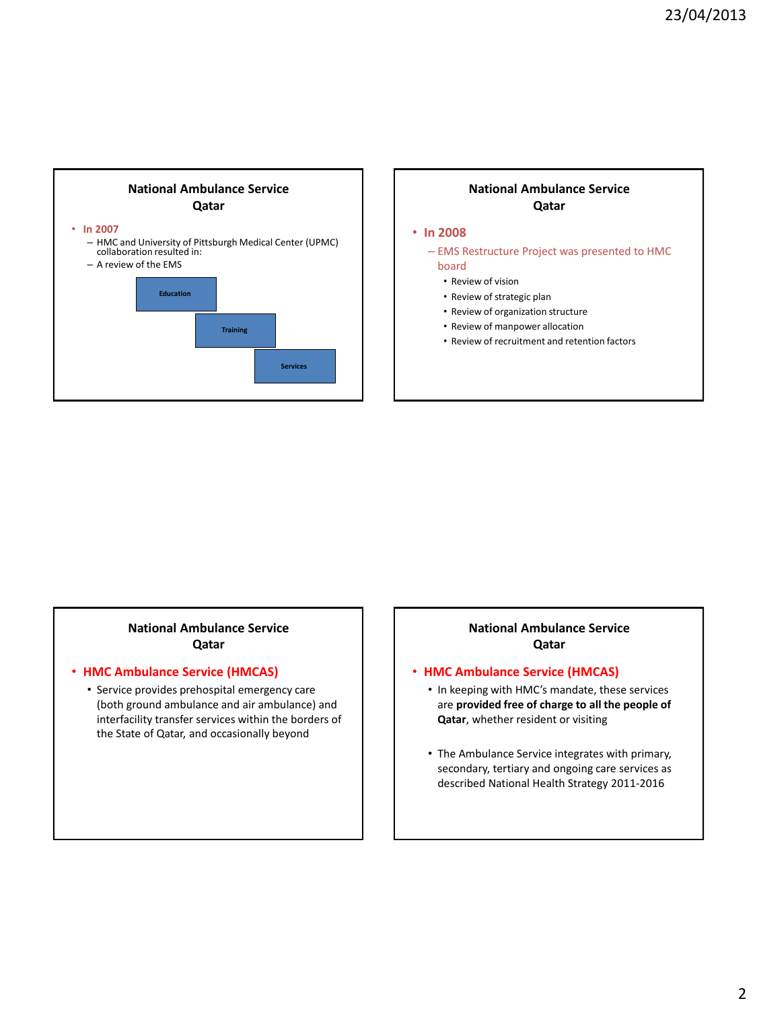

#### • **In 2008**

– EMS Restructure Project was presented to HMC board

- Review of vision
- Review of strategic plan
- Review of organization structure
- Review of manpower allocation
- Review of recruitment and retention factors

#### **National Ambulance Service Qatar**

#### • **HMC Ambulance Service (HMCAS)**

• Service provides prehospital emergency care (both ground ambulance and air ambulance) and interfacility transfer services within the borders of the State of Qatar, and occasionally beyond

#### **National Ambulance Service Qatar**

#### • **HMC Ambulance Service (HMCAS)**

- In keeping with HMC's mandate, these services are **provided free of charge to all the people of Qatar**, whether resident or visiting
- The Ambulance Service integrates with primary, secondary, tertiary and ongoing care services as described National Health Strategy 2011-2016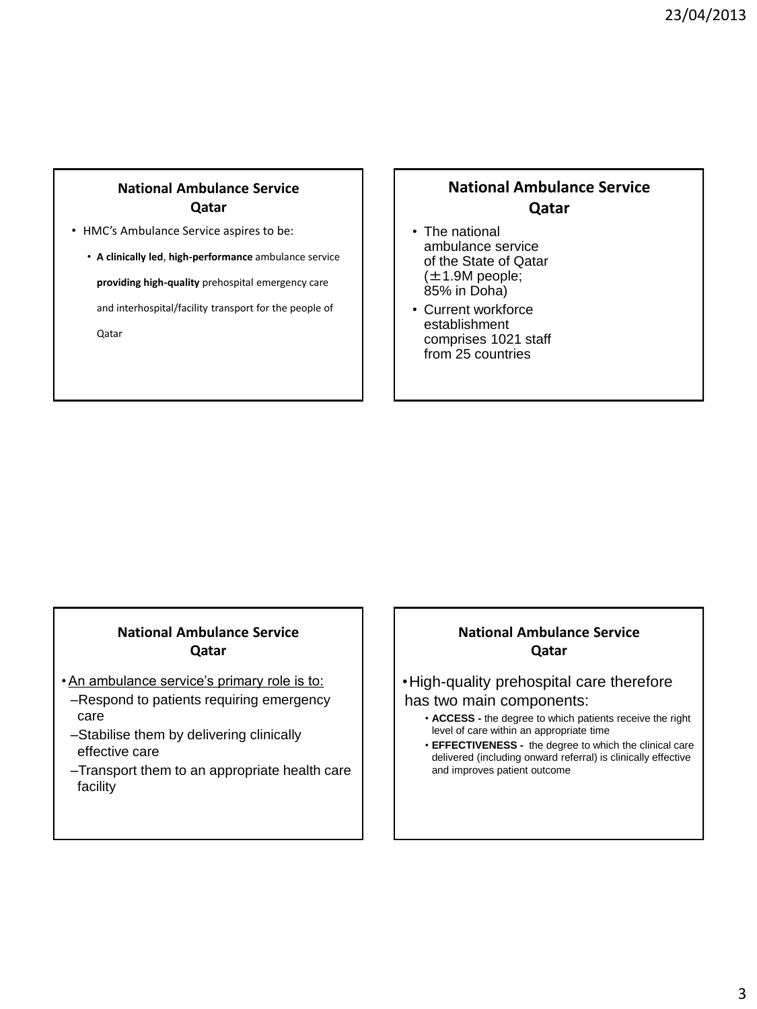- HMC's Ambulance Service aspires to be:
	- **A clinically led**, **high-performance** ambulance service

**providing high-quality** prehospital emergency care

and interhospital/facility transport for the people of

Qatar

### **National Ambulance Service Qatar**

- The national ambulance service of the State of Qatar  $(\pm 1.9M$  people; 85% in Doha)
- Current workforce establishment comprises 1021 staff from 25 countries

#### **National Ambulance Service Qatar**

- •An ambulance service's primary role is to:
- –Respond to patients requiring emergency care
- –Stabilise them by delivering clinically effective care
- –Transport them to an appropriate health care facility

### **National Ambulance Service Qatar**

#### •High-quality prehospital care therefore has two main components:

- **ACCESS -** the degree to which patients receive the right level of care within an appropriate time
- **EFFECTIVENESS -** the degree to which the clinical care delivered (including onward referral) is clinically effective and improves patient outcome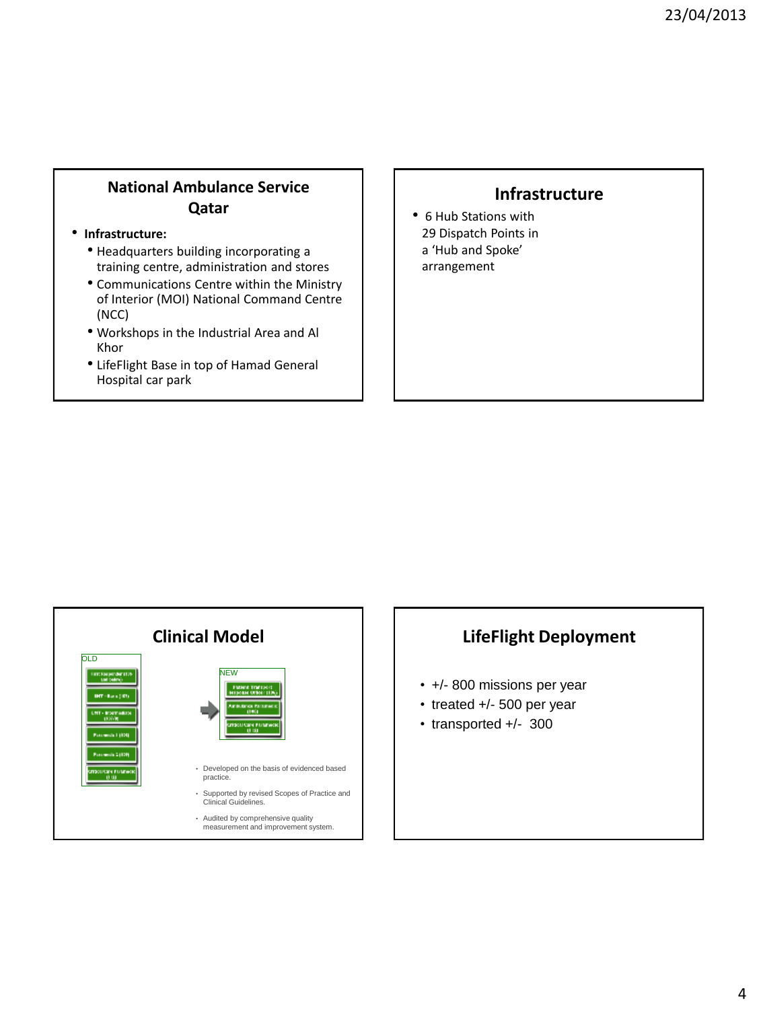#### • **Infrastructure:**

- Headquarters building incorporating a training centre, administration and stores
- Communications Centre within the Ministry of Interior (MOI) National Command Centre (NCC)
- Workshops in the Industrial Area and Al Khor
- LifeFlight Base in top of Hamad General Hospital car park

### **Infrastructure**

• 6 Hub Stations with 29 Dispatch Points in a 'Hub and Spoke' arrangement



## **LifeFlight Deployment**

- +/- 800 missions per year
- treated +/- 500 per year
- transported +/- 300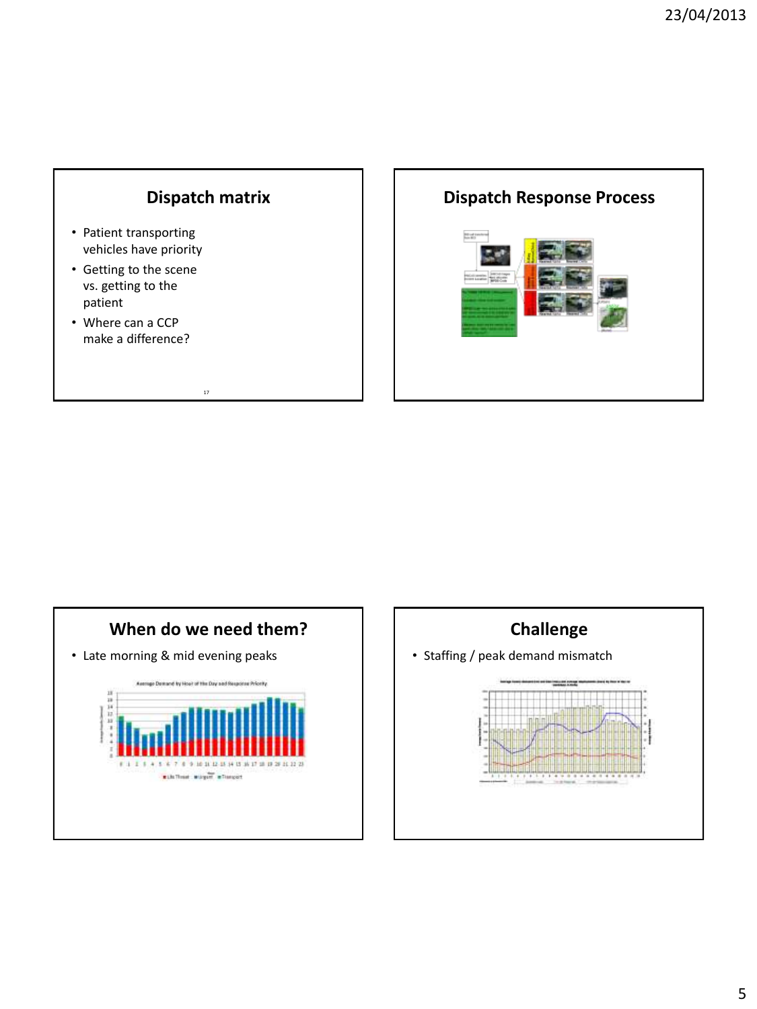# **Dispatch matrix**

17

- Patient transporting vehicles have priority
- Getting to the scene vs. getting to the patient
- Where can a CCP make a difference?

# **Dispatch Response Process Banal**ow



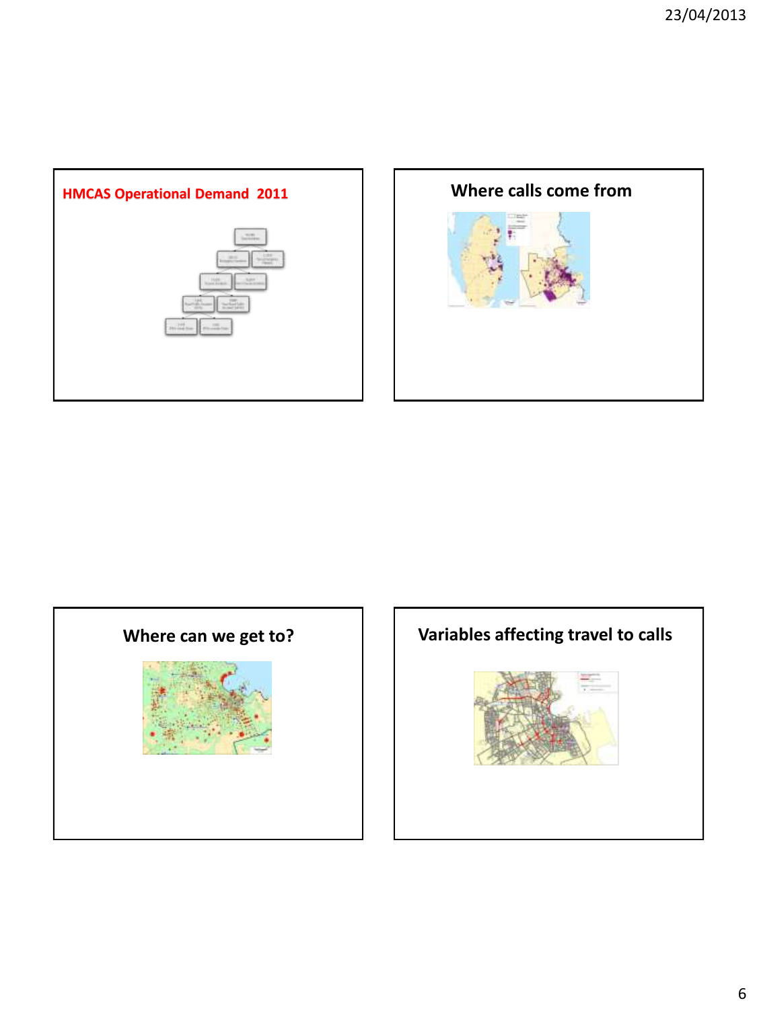





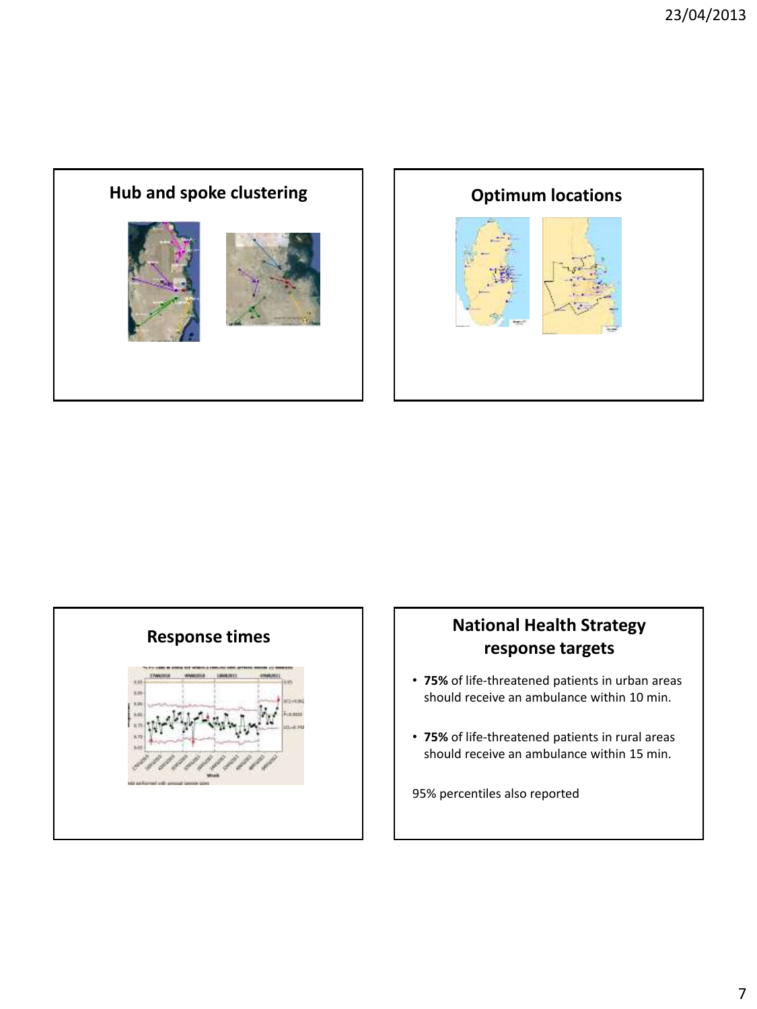







# **response targets**

- **75%** of life-threatened patients in urban areas should receive an ambulance within 10 min.
- **75%** of life-threatened patients in rural areas should receive an ambulance within 15 min.

95% percentiles also reported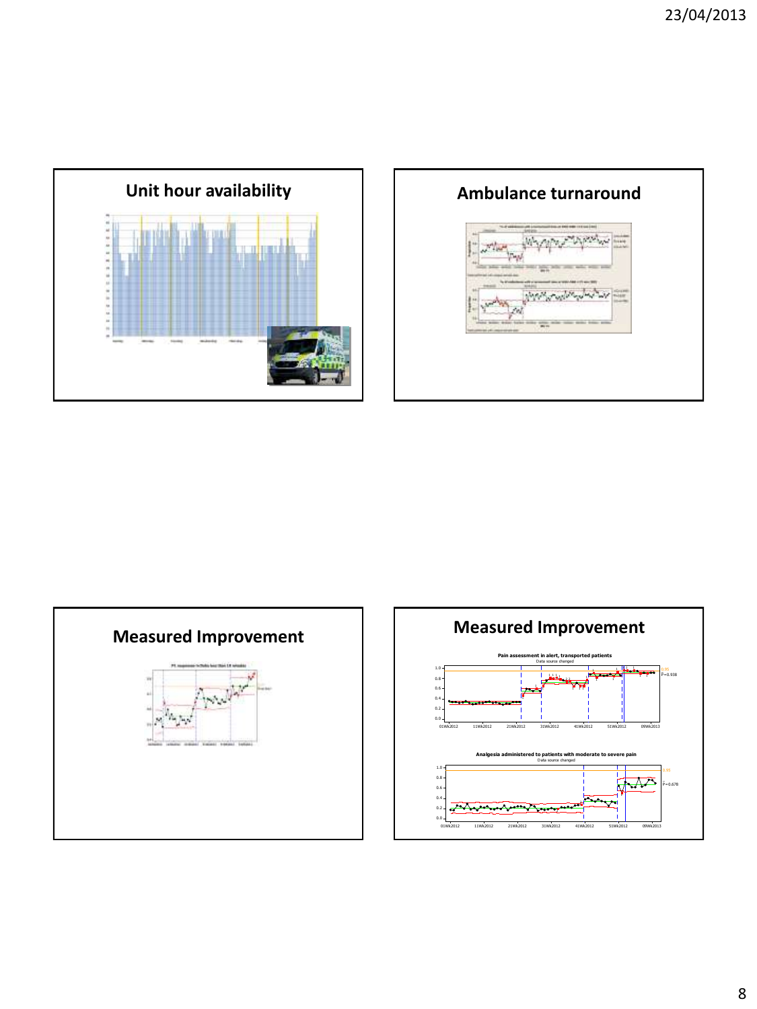





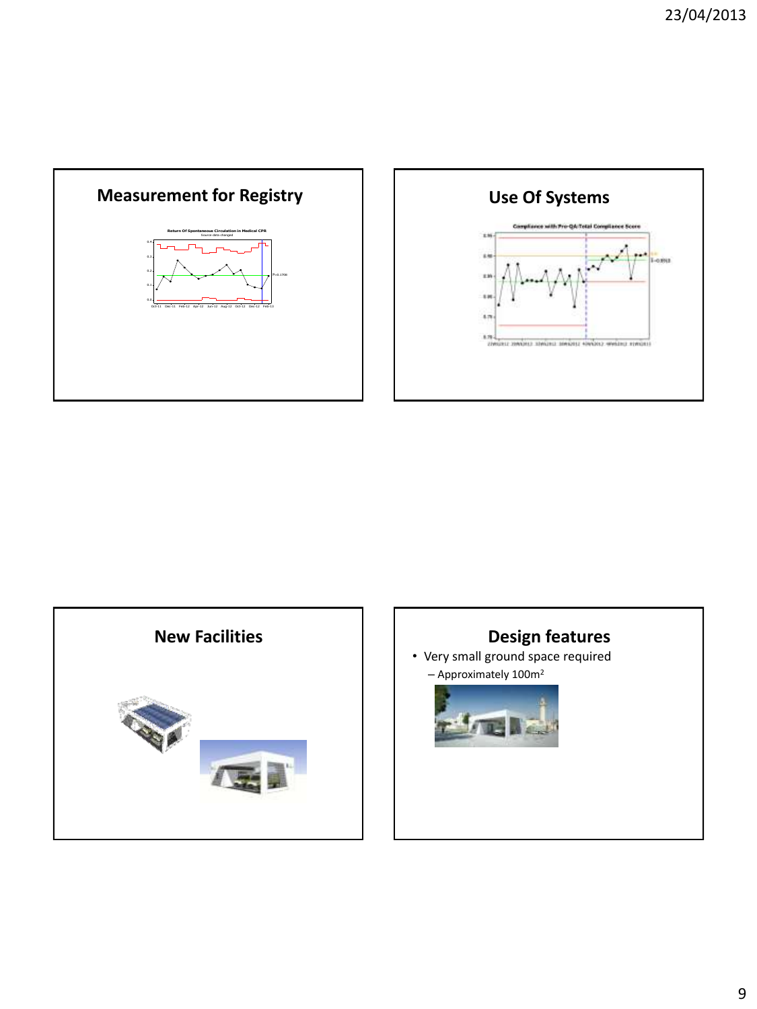





• Very small ground space required – Approximately 100m<sup>2</sup>

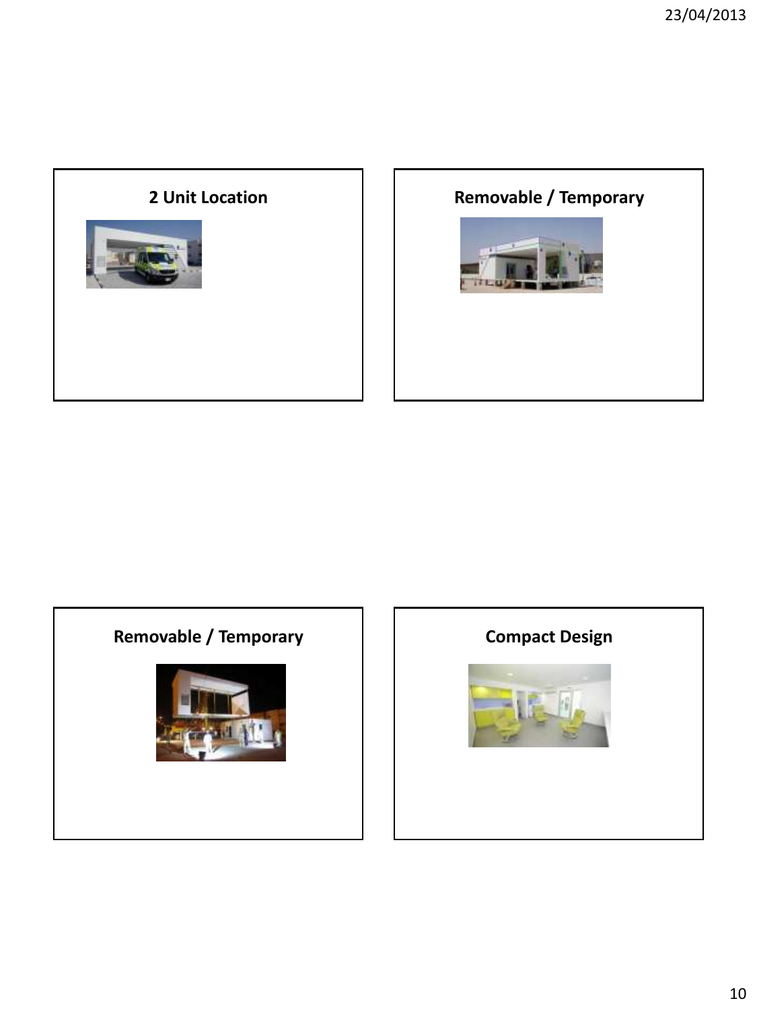

## **2 Unit Location Contains Contains Line Removable / Temporary**





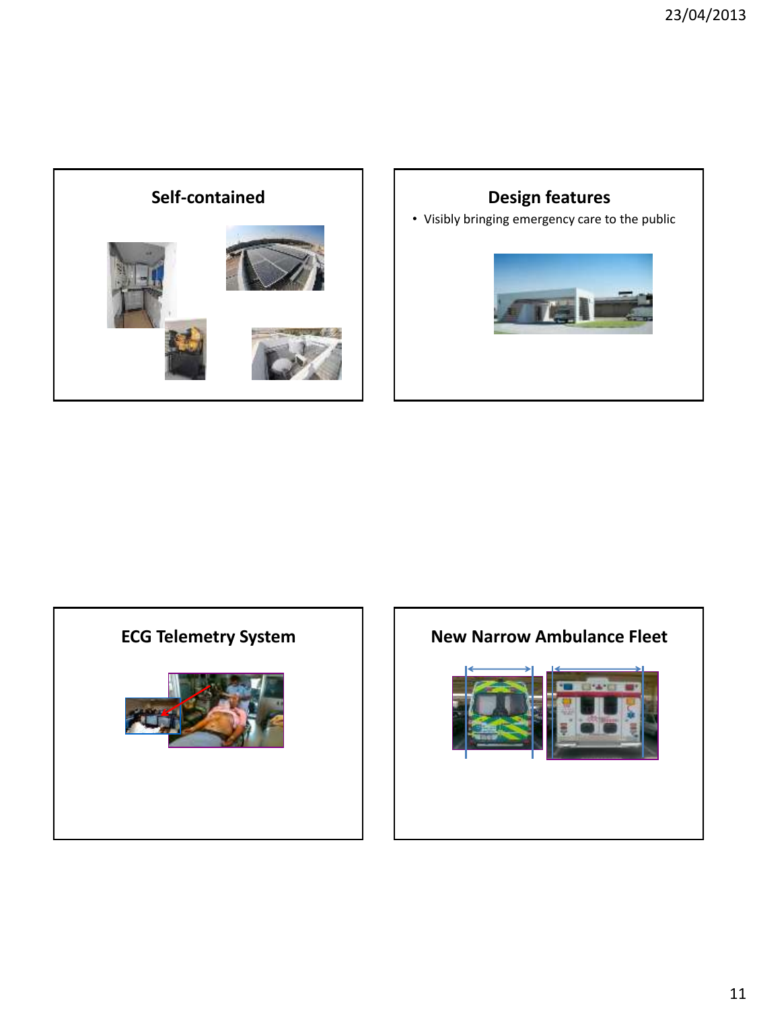





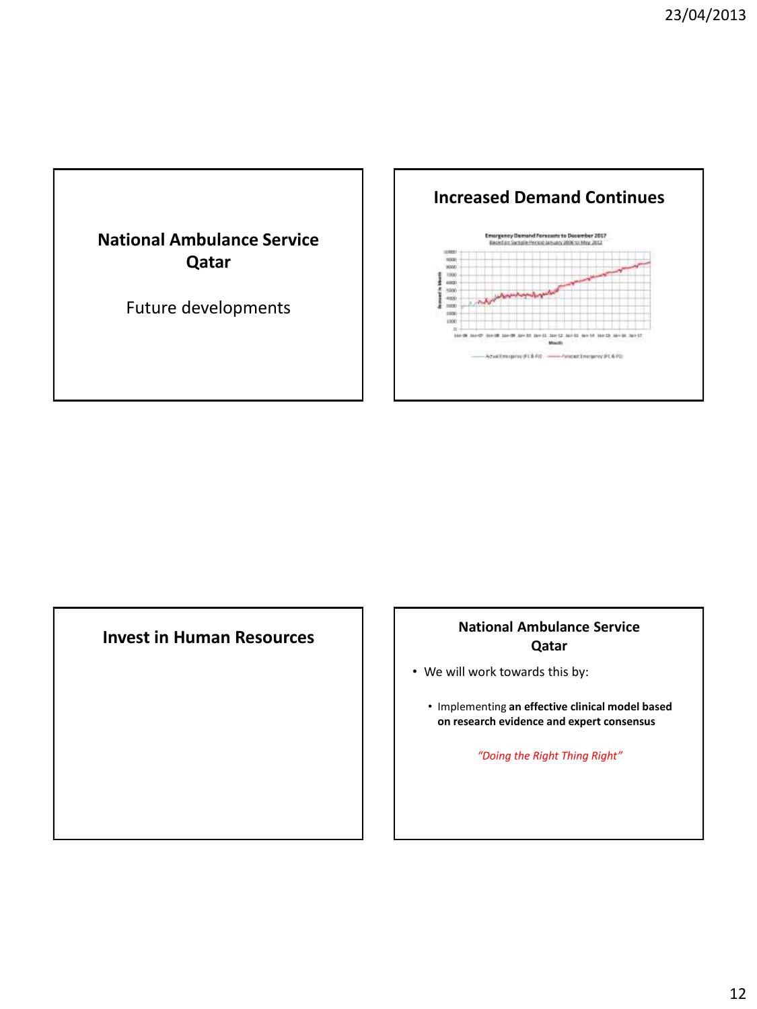



#### **Invest in Human Resources** *National Ambulance Service* **Qatar**

- We will work towards this by:
	- Implementing **an effective clinical model based on research evidence and expert consensus**

*"Doing the Right Thing Right"*